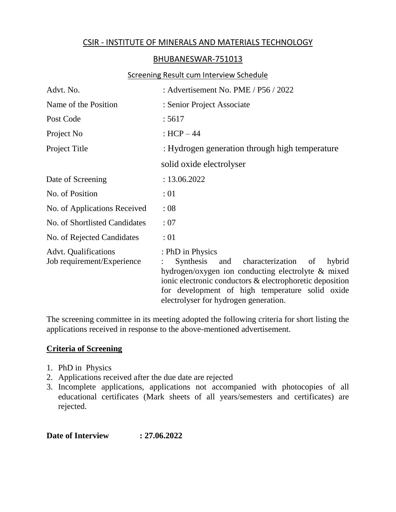# CSIR - INSTITUTE OF MINERALS AND MATERIALS TECHNOLOGY

## BHUBANESWAR-751013

#### Screening Result cum Interview Schedule

| Advt. No.                                                 | : Advertisement No. PME / P56 / 2022                                                                                                                                                                                                                                                |  |  |  |
|-----------------------------------------------------------|-------------------------------------------------------------------------------------------------------------------------------------------------------------------------------------------------------------------------------------------------------------------------------------|--|--|--|
| Name of the Position                                      | : Senior Project Associate                                                                                                                                                                                                                                                          |  |  |  |
| Post Code                                                 | : 5617                                                                                                                                                                                                                                                                              |  |  |  |
| Project No                                                | : $HCP - 44$                                                                                                                                                                                                                                                                        |  |  |  |
| Project Title                                             | : Hydrogen generation through high temperature                                                                                                                                                                                                                                      |  |  |  |
|                                                           | solid oxide electrolyser                                                                                                                                                                                                                                                            |  |  |  |
| Date of Screening                                         | : 13.06.2022                                                                                                                                                                                                                                                                        |  |  |  |
| No. of Position                                           | :01                                                                                                                                                                                                                                                                                 |  |  |  |
| No. of Applications Received                              | :08                                                                                                                                                                                                                                                                                 |  |  |  |
| No. of Shortlisted Candidates                             | : 07                                                                                                                                                                                                                                                                                |  |  |  |
| No. of Rejected Candidates                                | :01                                                                                                                                                                                                                                                                                 |  |  |  |
| <b>Advt.</b> Qualifications<br>Job requirement/Experience | : PhD in Physics<br>Synthesis<br>and characterization<br>hybrid<br>of<br>hydrogen/oxygen ion conducting electrolyte & mixed<br>ionic electronic conductors & electrophoretic deposition<br>for development of high temperature solid oxide<br>electrolyser for hydrogen generation. |  |  |  |

The screening committee in its meeting adopted the following criteria for short listing the applications received in response to the above-mentioned advertisement.

## **Criteria of Screening**

- 1. PhD in Physics
- 2. Applications received after the due date are rejected
- 3. Incomplete applications, applications not accompanied with photocopies of all educational certificates (Mark sheets of all years/semesters and certificates) are rejected.

**Date of Interview : 27.06.2022**